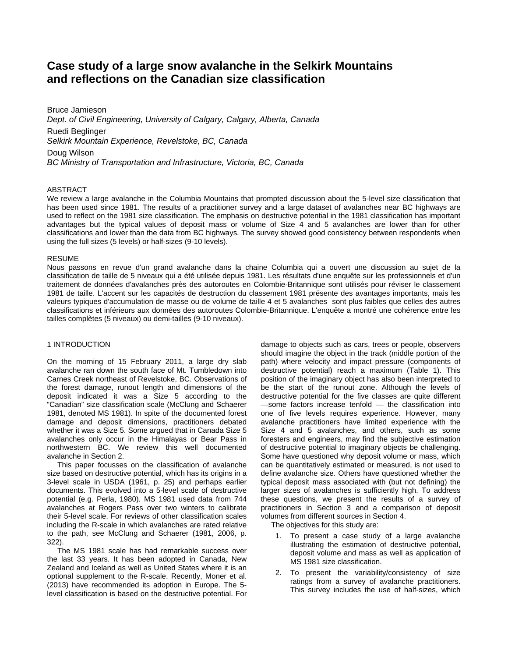# **Case study of a large snow avalanche in the Selkirk Mountains and reflections on the Canadian size classification**

Bruce Jamieson *Dept. of Civil Engineering, University of Calgary, Calgary, Alberta, Canada*  Ruedi Beglinger *Selkirk Mountain Experience, Revelstoke, BC, Canada*  Doug Wilson *BC Ministry of Transportation and Infrastructure, Victoria, BC, Canada* 

#### ABSTRACT

We review a large avalanche in the Columbia Mountains that prompted discussion about the 5-level size classification that has been used since 1981. The results of a practitioner survey and a large dataset of avalanches near BC highways are used to reflect on the 1981 size classification. The emphasis on destructive potential in the 1981 classification has important advantages but the typical values of deposit mass or volume of Size 4 and 5 avalanches are lower than for other classifications and lower than the data from BC highways. The survey showed good consistency between respondents when using the full sizes (5 levels) or half-sizes (9-10 levels).

#### RESUME

Nous passons en revue d'un grand avalanche dans la chaine Columbia qui a ouvert une discussion au sujet de la classification de taille de 5 niveaux qui a été utilisée depuis 1981. Les résultats d'une enquête sur les professionnels et d'un traitement de données d'avalanches près des autoroutes en Colombie-Britannique sont utilisés pour réviser le classement 1981 de taille. L'accent sur les capacités de destruction du classement 1981 présente des avantages importants, mais les valeurs typiques d'accumulation de masse ou de volume de taille 4 et 5 avalanches sont plus faibles que celles des autres classifications et inférieurs aux données des autoroutes Colombie-Britannique. L'enquête a montré une cohérence entre les tailles complètes (5 niveaux) ou demi-tailles (9-10 niveaux).

#### 1 INTRODUCTION

On the morning of 15 February 2011, a large dry slab avalanche ran down the south face of Mt. Tumbledown into Carnes Creek northeast of Revelstoke, BC. Observations of the forest damage, runout length and dimensions of the deposit indicated it was a Size 5 according to the "Canadian" size classification scale (McClung and Schaerer 1981, denoted MS 1981). In spite of the documented forest damage and deposit dimensions, practitioners debated whether it was a Size 5. Some argued that in Canada Size 5 avalanches only occur in the Himalayas or Bear Pass in northwestern BC. We review this well documented avalanche in Section 2.

 This paper focusses on the classification of avalanche size based on destructive potential, which has its origins in a 3-level scale in USDA (1961, p. 25) and perhaps earlier documents. This evolved into a 5-level scale of destructive potential (e.g. Perla, 1980). MS 1981 used data from 744 avalanches at Rogers Pass over two winters to calibrate their 5-level scale. For reviews of other classification scales including the R-scale in which avalanches are rated relative to the path, see McClung and Schaerer (1981, 2006, p. 322).

 The MS 1981 scale has had remarkable success over the last 33 years. It has been adopted in Canada, New Zealand and Iceland as well as United States where it is an optional supplement to the R-scale. Recently, Moner et al. (2013) have recommended its adoption in Europe. The 5 level classification is based on the destructive potential. For damage to objects such as cars, trees or people, observers should imagine the object in the track (middle portion of the path) where velocity and impact pressure (components of destructive potential) reach a maximum (Table 1). This position of the imaginary object has also been interpreted to be the start of the runout zone. Although the levels of destructive potential for the five classes are quite different —some factors increase tenfold — the classification into one of five levels requires experience. However, many avalanche practitioners have limited experience with the Size 4 and 5 avalanches, and others, such as some foresters and engineers, may find the subjective estimation of destructive potential to imaginary objects be challenging. Some have questioned why deposit volume or mass, which can be quantitatively estimated or measured, is not used to define avalanche size. Others have questioned whether the typical deposit mass associated with (but not defining) the larger sizes of avalanches is sufficiently high. To address these questions, we present the results of a survey of practitioners in Section 3 and a comparison of deposit volumes from different sources in Section 4.

The objectives for this study are:

- 1. To present a case study of a large avalanche illustrating the estimation of destructive potential, deposit volume and mass as well as application of MS 1981 size classification.
- 2. To present the variability/consistency of size ratings from a survey of avalanche practitioners. This survey includes the use of half-sizes, which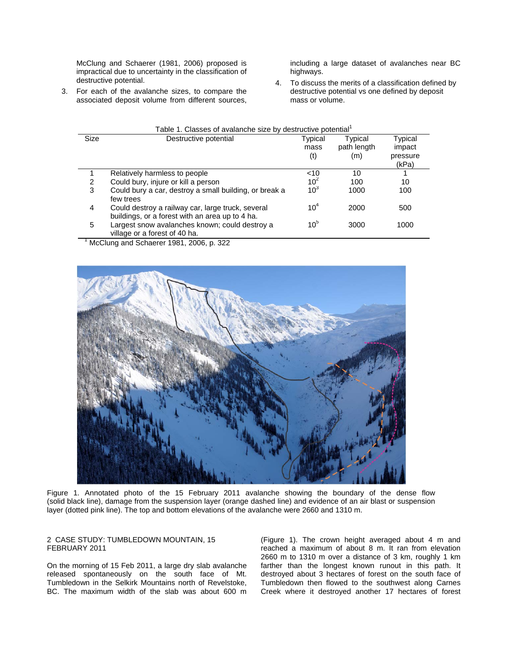McClung and Schaerer (1981, 2006) proposed is impractical due to uncertainty in the classification of destructive potential.

3. For each of the avalanche sizes, to compare the associated deposit volume from different sources,

including a large dataset of avalanches near BC highways.

4. To discuss the merits of a classification defined by destructive potential vs one defined by deposit mass or volume.

|      |                                                                                                      | Table 1. Classes of avalanche size by destructive potential <sup>1</sup> |                        |                   |  |  |  |
|------|------------------------------------------------------------------------------------------------------|--------------------------------------------------------------------------|------------------------|-------------------|--|--|--|
| Size | Destructive potential                                                                                | Typical<br>mass                                                          | Typical<br>path length | Typical<br>impact |  |  |  |
|      |                                                                                                      | (t)                                                                      | (m)                    | pressure<br>(kPa) |  |  |  |
|      | Relatively harmless to people                                                                        | $10^{10}$                                                                | 10                     |                   |  |  |  |
| 2    | Could bury, injure or kill a person                                                                  |                                                                          | 100                    | 10                |  |  |  |
| 3    | Could bury a car, destroy a small building, or break a<br>few trees                                  | 10 <sup>3</sup>                                                          | 1000                   | 100               |  |  |  |
| 4    | Could destroy a railway car, large truck, several<br>buildings, or a forest with an area up to 4 ha. | 10 <sup>4</sup>                                                          | 2000                   | 500               |  |  |  |
| 5    | Largest snow avalanches known; could destroy a<br>village or a forest of 40 ha.                      | 10 <sup>5</sup>                                                          | 3000                   | 1000              |  |  |  |

 $<sup>1</sup>$  McClung and Schaerer 1981, 2006, p. 322</sup>



Figure 1. Annotated photo of the 15 February 2011 avalanche showing the boundary of the dense flow (solid black line), damage from the suspension layer (orange dashed line) and evidence of an air blast or suspension layer (dotted pink line). The top and bottom elevations of the avalanche were 2660 and 1310 m.

## 2 CASE STUDY: TUMBLEDOWN MOUNTAIN, 15 FEBRUARY 2011

On the morning of 15 Feb 2011, a large dry slab avalanche released spontaneously on the south face of Mt. Tumbledown in the Selkirk Mountains north of Revelstoke, BC. The maximum width of the slab was about 600 m

(Figure 1). The crown height averaged about 4 m and reached a maximum of about 8 m. It ran from elevation 2660 m to 1310 m over a distance of 3 km, roughly 1 km farther than the longest known runout in this path. It destroyed about 3 hectares of forest on the south face of Tumbledown then flowed to the southwest along Carnes Creek where it destroyed another 17 hectares of forest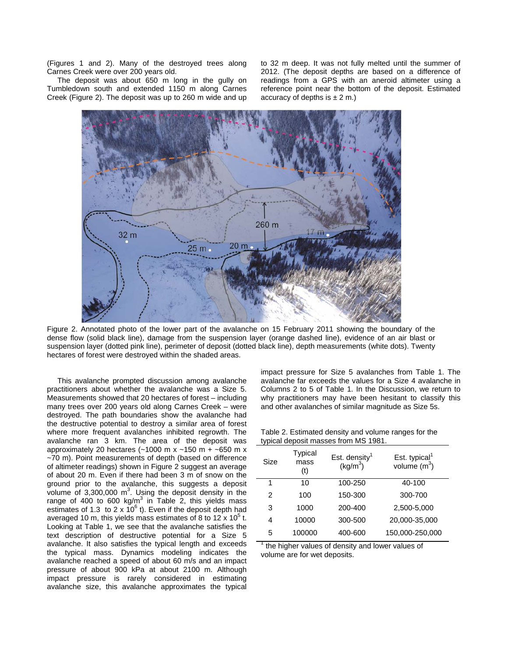(Figures 1 and 2). Many of the destroyed trees along Carnes Creek were over 200 years old.

 The deposit was about 650 m long in the gully on Tumbledown south and extended 1150 m along Carnes Creek (Figure 2). The deposit was up to 260 m wide and up to 32 m deep. It was not fully melted until the summer of 2012. (The deposit depths are based on a difference of readings from a GPS with an aneroid altimeter using a reference point near the bottom of the deposit. Estimated accuracy of depths is  $\pm$  2 m.)



Figure 2. Annotated photo of the lower part of the avalanche on 15 February 2011 showing the boundary of the dense flow (solid black line), damage from the suspension layer (orange dashed line), evidence of an air blast or suspension layer (dotted pink line), perimeter of deposit (dotted black line), depth measurements (white dots). Twenty hectares of forest were destroyed within the shaded areas.

 This avalanche prompted discussion among avalanche practitioners about whether the avalanche was a Size 5. Measurements showed that 20 hectares of forest – including many trees over 200 years old along Carnes Creek – were destroyed. The path boundaries show the avalanche had the destructive potential to destroy a similar area of forest where more frequent avalanches inhibited regrowth. The avalanche ran 3 km. The area of the deposit was approximately 20 hectares ( $~1000$  m x  $~150$  m +  $~1650$  m x ~70 m). Point measurements of depth (based on difference of altimeter readings) shown in Figure 2 suggest an average of about 20 m. Even if there had been 3 m of snow on the ground prior to the avalanche, this suggests a deposit volume of  $3,300,000$  m<sup>3</sup>. Using the deposit density in the range of 400 to 600 kg/m<sup>3</sup> in Table 2, this yields mass estimates of 1.3 to 2 x  $10^6$  t). Even if the deposit depth had averaged 10 m, this yields mass estimates of 8 to 12 x 10<sup>5</sup> t. Looking at Table 1, we see that the avalanche satisfies the text description of destructive potential for a Size 5 avalanche. It also satisfies the typical length and exceeds the typical mass. Dynamics modeling indicates the avalanche reached a speed of about 60 m/s and an impact pressure of about 900 kPa at about 2100 m. Although impact pressure is rarely considered in estimating avalanche size, this avalanche approximates the typical

impact pressure for Size 5 avalanches from Table 1. The avalanche far exceeds the values for a Size 4 avalanche in Columns 2 to 5 of Table 1. In the Discussion, we return to why practitioners may have been hesitant to classify this and other avalanches of similar magnitude as Size 5s.

Table 2. Estimated density and volume ranges for the typical deposit masses from MS 1981.

| Size | Typical<br>mass<br>(t) | Est. density $1$<br>(kg/m <sup>3</sup> ) | Est. typical <sup>1</sup><br>volume $(m^3)$ |
|------|------------------------|------------------------------------------|---------------------------------------------|
| 1    | 10                     | 100-250                                  | 40-100                                      |
| 2    | 100                    | 150-300                                  | 300-700                                     |
| 3    | 1000                   | 200-400                                  | 2,500-5,000                                 |
| 4    | 10000                  | 300-500                                  | 20,000-35,000                               |
| 5    | 100000                 | 400-600                                  | 150,000-250,000                             |

1 the higher values of density and lower values of volume are for wet deposits.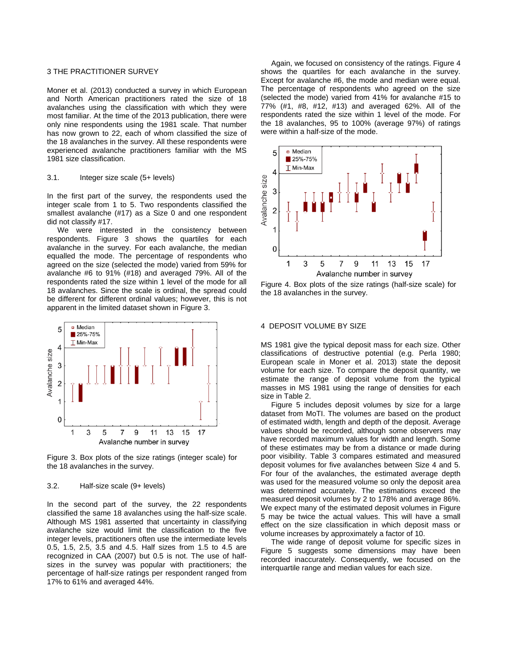#### 3 THE PRACTITIONER SURVEY

Moner et al. (2013) conducted a survey in which European and North American practitioners rated the size of 18 avalanches using the classification with which they were most familiar. At the time of the 2013 publication, there were only nine respondents using the 1981 scale. That number has now grown to 22, each of whom classified the size of the 18 avalanches in the survey. All these respondents were experienced avalanche practitioners familiar with the MS 1981 size classification.

#### 3.1. Integer size scale (5+ levels)

In the first part of the survey, the respondents used the integer scale from 1 to 5. Two respondents classified the smallest avalanche (#17) as a Size 0 and one respondent did not classify #17.

We were interested in the consistency between respondents. Figure 3 shows the quartiles for each avalanche in the survey. For each avalanche, the median equalled the mode. The percentage of respondents who agreed on the size (selected the mode) varied from 59% for avalanche #6 to 91% (#18) and averaged 79%. All of the respondents rated the size within 1 level of the mode for all 18 avalanches. Since the scale is ordinal, the spread could be different for different ordinal values; however, this is not apparent in the limited dataset shown in Figure 3.



Figure 3. Box plots of the size ratings (integer scale) for the 18 avalanches in the survey.

#### 3.2. Half-size scale (9+ levels)

In the second part of the survey, the 22 respondents classified the same 18 avalanches using the half-size scale. Although MS 1981 asserted that uncertainty in classifying avalanche size would limit the classification to the five integer levels, practitioners often use the intermediate levels 0.5, 1.5, 2.5, 3.5 and 4.5. Half sizes from 1.5 to 4.5 are recognized in CAA (2007) but 0.5 is not. The use of halfsizes in the survey was popular with practitioners; the percentage of half-size ratings per respondent ranged from 17% to 61% and averaged 44%.

 Again, we focused on consistency of the ratings. Figure 4 shows the quartiles for each avalanche in the survey. Except for avalanche #6, the mode and median were equal. The percentage of respondents who agreed on the size (selected the mode) varied from 41% for avalanche #15 to 77% (#1, #8, #12, #13) and averaged 62%. All of the respondents rated the size within 1 level of the mode. For the 18 avalanches, 95 to 100% (average 97%) of ratings were within a half-size of the mode.



Figure 4. Box plots of the size ratings (half-size scale) for the 18 avalanches in the survey.

#### 4 DEPOSIT VOLUME BY SIZE

MS 1981 give the typical deposit mass for each size. Other classifications of destructive potential (e.g. Perla 1980; European scale in Moner et al. 2013) state the deposit volume for each size. To compare the deposit quantity, we estimate the range of deposit volume from the typical masses in MS 1981 using the range of densities for each size in Table 2.

 Figure 5 includes deposit volumes by size for a large dataset from MoTI. The volumes are based on the product of estimated width, length and depth of the deposit. Average values should be recorded, although some observers may have recorded maximum values for width and length. Some of these estimates may be from a distance or made during poor visibility. Table 3 compares estimated and measured deposit volumes for five avalanches between Size 4 and 5. For four of the avalanches, the estimated average depth was used for the measured volume so only the deposit area was determined accurately. The estimations exceed the measured deposit volumes by 2 to 178% and average 86%. We expect many of the estimated deposit volumes in Figure 5 may be twice the actual values. This will have a small effect on the size classification in which deposit mass or volume increases by approximately a factor of 10.

 The wide range of deposit volume for specific sizes in Figure 5 suggests some dimensions may have been recorded inaccurately. Consequently, we focused on the interquartile range and median values for each size.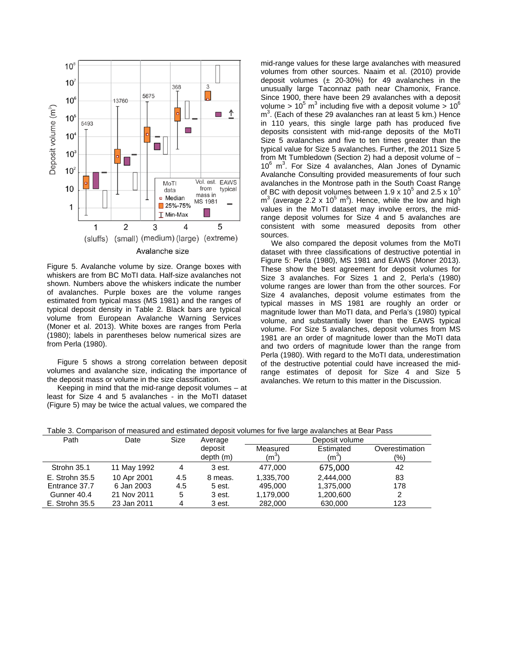

Figure 5. Avalanche volume by size. Orange boxes with whiskers are from BC MoTI data. Half-size avalanches not shown. Numbers above the whiskers indicate the number of avalanches. Purple boxes are the volume ranges estimated from typical mass (MS 1981) and the ranges of typical deposit density in Table 2. Black bars are typical volume from European Avalanche Warning Services (Moner et al. 2013). White boxes are ranges from Perla (1980); labels in parentheses below numerical sizes are from Perla (1980).

 Figure 5 shows a strong correlation between deposit volumes and avalanche size, indicating the importance of the deposit mass or volume in the size classification.

 Keeping in mind that the mid-range deposit volumes – at least for Size 4 and 5 avalanches - in the MoTI dataset (Figure 5) may be twice the actual values, we compared the mid-range values for these large avalanches with measured volumes from other sources. Naaim et al. (2010) provide deposit volumes  $(± 20-30%)$  for 49 avalanches in the unusually large Taconnaz path near Chamonix, France. Since 1900, there have been 29 avalanches with a deposit volume >  $10^5$  m<sup>3</sup> including five with a deposit volume >  $10^6$ m3 . (Each of these 29 avalanches ran at least 5 km.) Hence in 110 years, this single large path has produced five deposits consistent with mid-range deposits of the MoTI Size 5 avalanches and five to ten times greater than the typical value for Size 5 avalanches. Further, the 2011 Size 5 from Mt Tumbledown (Section 2) had a deposit volume of  $\sim$ 10<sup>6</sup> m<sup>3</sup>. For Size 4 avalanches, Alan Jones of Dynamic Avalanche Consulting provided measurements of four such avalanches in the Montrose path in the South Coast Range of BC with deposit volumes between 1.9 x 10<sup>5</sup> and 2.5 x 10<sup>5</sup>  $m<sup>3</sup>$  (average 2.2 x 10<sup>5</sup> m<sup>3</sup>). Hence, while the low and high values in the MoTI dataset may involve errors, the midrange deposit volumes for Size 4 and 5 avalanches are consistent with some measured deposits from other sources.

 We also compared the deposit volumes from the MoTI dataset with three classifications of destructive potential in Figure 5: Perla (1980), MS 1981 and EAWS (Moner 2013). These show the best agreement for deposit volumes for Size 3 avalanches. For Sizes 1 and 2, Perla's (1980) volume ranges are lower than from the other sources. For Size 4 avalanches, deposit volume estimates from the typical masses in MS 1981 are roughly an order or magnitude lower than MoTI data, and Perla's (1980) typical volume, and substantially lower than the EAWS typical volume. For Size 5 avalanches, deposit volumes from MS 1981 are an order of magnitude lower than the MoTI data and two orders of magnitude lower than the range from Perla (1980). With regard to the MoTI data, underestimation of the destructive potential could have increased the midrange estimates of deposit for Size 4 and Size 5 avalanches. We return to this matter in the Discussion.

| Table 3. Comparison of measured and estimated deposit volumes for five large avalanches at Bear Pass |  |  |
|------------------------------------------------------------------------------------------------------|--|--|
|------------------------------------------------------------------------------------------------------|--|--|

| Path           | Date        | Size | Average              | Deposit volume                |                      |                       |
|----------------|-------------|------|----------------------|-------------------------------|----------------------|-----------------------|
|                |             |      | deposit<br>depth (m) | Measured<br>(m <sup>3</sup> ) | Estimated<br>$(m^3)$ | Overestimation<br>(9) |
| Strohn 35.1    | 11 May 1992 | 4    | 3 est.               | 477.000                       | 675,000              | 42                    |
| E. Strohn 35.5 | 10 Apr 2001 | 4.5  | 8 meas.              | 1,335,700                     | 2,444,000            | 83                    |
| Entrance 37.7  | 6 Jan 2003  | 4.5  | 5 est.               | 495,000                       | 1,375,000            | 178                   |
| Gunner 40.4    | 21 Nov 2011 | 5    | 3 est.               | 1.179.000                     | 1,200,600            | 2                     |
| E. Strohn 35.5 | 23 Jan 2011 | 4    | 3 est.               | 282,000                       | 630,000              | 123                   |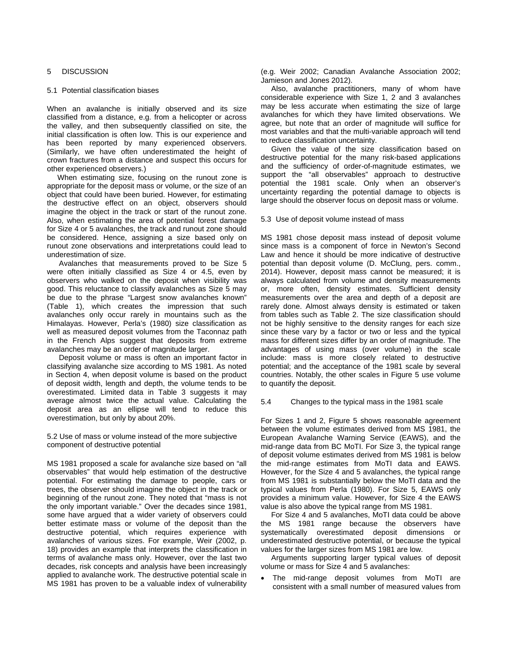### 5 DISCUSSION

#### 5.1 Potential classification biases

When an avalanche is initially observed and its size classified from a distance, e.g. from a helicopter or across the valley, and then subsequently classified on site, the initial classification is often low. This is our experience and has been reported by many experienced observers. (Similarly, we have often underestimated the height of crown fractures from a distance and suspect this occurs for other experienced observers.)

 When estimating size, focusing on the runout zone is appropriate for the deposit mass or volume, or the size of an object that could have been buried. However, for estimating the destructive effect on an object, observers should imagine the object in the track or start of the runout zone. Also, when estimating the area of potential forest damage for Size 4 or 5 avalanches, the track and runout zone should be considered. Hence, assigning a size based only on runout zone observations and interpretations could lead to underestimation of size.

Avalanches that measurements proved to be Size 5 were often initially classified as Size 4 or 4.5, even by observers who walked on the deposit when visibility was good. This reluctance to classify avalanches as Size 5 may be due to the phrase "Largest snow avalanches known" (Table 1), which creates the impression that such avalanches only occur rarely in mountains such as the Himalayas. However, Perla's (1980) size classification as well as measured deposit volumes from the Taconnaz path in the French Alps suggest that deposits from extreme avalanches may be an order of magnitude larger.

Deposit volume or mass is often an important factor in classifying avalanche size according to MS 1981. As noted in Section 4, when deposit volume is based on the product of deposit width, length and depth, the volume tends to be overestimated. Limited data in Table 3 suggests it may average almost twice the actual value. Calculating the deposit area as an ellipse will tend to reduce this overestimation, but only by about 20%.

5.2 Use of mass or volume instead of the more subjective component of destructive potential

MS 1981 proposed a scale for avalanche size based on "all observables" that would help estimation of the destructive potential. For estimating the damage to people, cars or trees, the observer should imagine the object in the track or beginning of the runout zone. They noted that "mass is not the only important variable." Over the decades since 1981, some have argued that a wider variety of observers could better estimate mass or volume of the deposit than the destructive potential, which requires experience with avalanches of various sizes. For example, Weir (2002, p. 18) provides an example that interprets the classification in terms of avalanche mass only. However, over the last two decades, risk concepts and analysis have been increasingly applied to avalanche work. The destructive potential scale in MS 1981 has proven to be a valuable index of vulnerability (e.g. Weir 2002; Canadian Avalanche Association 2002; Jamieson and Jones 2012).

 Also, avalanche practitioners, many of whom have considerable experience with Size 1, 2 and 3 avalanches may be less accurate when estimating the size of large avalanches for which they have limited observations. We agree, but note that an order of magnitude will suffice for most variables and that the multi-variable approach will tend to reduce classification uncertainty.

 Given the value of the size classification based on destructive potential for the many risk-based applications and the sufficiency of order-of-magnitude estimates, we support the "all observables" approach to destructive potential the 1981 scale. Only when an observer's uncertainty regarding the potential damage to objects is large should the observer focus on deposit mass or volume.

5.3 Use of deposit volume instead of mass

MS 1981 chose deposit mass instead of deposit volume since mass is a component of force in Newton's Second Law and hence it should be more indicative of destructive potential than deposit volume (D. McClung, pers. comm., 2014). However, deposit mass cannot be measured; it is always calculated from volume and density measurements or, more often, density estimates. Sufficient density measurements over the area and depth of a deposit are rarely done. Almost always density is estimated or taken from tables such as Table 2. The size classification should not be highly sensitive to the density ranges for each size since these vary by a factor or two or less and the typical mass for different sizes differ by an order of magnitude. The advantages of using mass (over volume) in the scale include: mass is more closely related to destructive potential; and the acceptance of the 1981 scale by several countries. Notably, the other scales in Figure 5 use volume to quantify the deposit.

5.4 Changes to the typical mass in the 1981 scale

For Sizes 1 and 2, Figure 5 shows reasonable agreement between the volume estimates derived from MS 1981, the European Avalanche Warning Service (EAWS), and the mid-range data from BC MoTI. For Size 3, the typical range of deposit volume estimates derived from MS 1981 is below the mid-range estimates from MoTI data and EAWS. However, for the Size 4 and 5 avalanches, the typical range from MS 1981 is substantially below the MoTI data and the typical values from Perla (1980). For Size 5, EAWS only provides a minimum value. However, for Size 4 the EAWS value is also above the typical range from MS 1981.

 For Size 4 and 5 avalanches, MoTI data could be above the MS 1981 range because the observers have systematically overestimated deposit dimensions or underestimated destructive potential, or because the typical values for the larger sizes from MS 1981 are low.

 Arguments supporting larger typical values of deposit volume or mass for Size 4 and 5 avalanches:

 The mid-range deposit volumes from MoTI are consistent with a small number of measured values from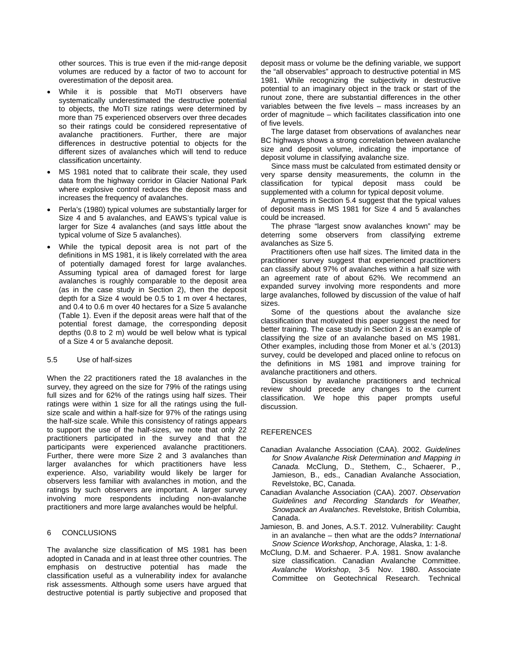other sources. This is true even if the mid-range deposit volumes are reduced by a factor of two to account for overestimation of the deposit area.

- While it is possible that MoTI observers have systematically underestimated the destructive potential to objects, the MoTI size ratings were determined by more than 75 experienced observers over three decades so their ratings could be considered representative of avalanche practitioners. Further, there are major differences in destructive potential to objects for the different sizes of avalanches which will tend to reduce classification uncertainty.
- MS 1981 noted that to calibrate their scale, they used data from the highway corridor in Glacier National Park where explosive control reduces the deposit mass and increases the frequency of avalanches.
- Perla's (1980) typical volumes are substantially larger for Size 4 and 5 avalanches, and EAWS's typical value is larger for Size 4 avalanches (and says little about the typical volume of Size 5 avalanches).
- While the typical deposit area is not part of the definitions in MS 1981, it is likely correlated with the area of potentially damaged forest for large avalanches. Assuming typical area of damaged forest for large avalanches is roughly comparable to the deposit area (as in the case study in Section 2), then the deposit depth for a Size 4 would be 0.5 to 1 m over 4 hectares, and 0.4 to 0.6 m over 40 hectares for a Size 5 avalanche (Table 1). Even if the deposit areas were half that of the potential forest damage, the corresponding deposit depths (0.8 to 2 m) would be well below what is typical of a Size 4 or 5 avalanche deposit.

#### 5.5 Use of half-sizes

When the 22 practitioners rated the 18 avalanches in the survey, they agreed on the size for 79% of the ratings using full sizes and for 62% of the ratings using half sizes. Their ratings were within 1 size for all the ratings using the fullsize scale and within a half-size for 97% of the ratings using the half-size scale. While this consistency of ratings appears to support the use of the half-sizes, we note that only 22 practitioners participated in the survey and that the participants were experienced avalanche practitioners. Further, there were more Size 2 and 3 avalanches than larger avalanches for which practitioners have less experience. Also, variability would likely be larger for observers less familiar with avalanches in motion, and the ratings by such observers are important. A larger survey involving more respondents including non-avalanche practitioners and more large avalanches would be helpful.

## 6 CONCLUSIONS

The avalanche size classification of MS 1981 has been adopted in Canada and in at least three other countries. The emphasis on destructive potential has made the classification useful as a vulnerability index for avalanche risk assessments. Although some users have argued that destructive potential is partly subjective and proposed that deposit mass or volume be the defining variable, we support the "all observables" approach to destructive potential in MS 1981. While recognizing the subjectivity in destructive potential to an imaginary object in the track or start of the runout zone, there are substantial differences in the other variables between the five levels – mass increases by an order of magnitude – which facilitates classification into one of five levels.

 The large dataset from observations of avalanches near BC highways shows a strong correlation between avalanche size and deposit volume, indicating the importance of deposit volume in classifying avalanche size.

 Since mass must be calculated from estimated density or very sparse density measurements, the column in the classification for typical deposit mass could be supplemented with a column for typical deposit volume.

 Arguments in Section 5.4 suggest that the typical values of deposit mass in MS 1981 for Size 4 and 5 avalanches could be increased.

 The phrase "largest snow avalanches known" may be deterring some observers from classifying extreme avalanches as Size 5.

 Practitioners often use half sizes. The limited data in the practitioner survey suggest that experienced practitioners can classify about 97% of avalanches within a half size with an agreement rate of about 62%. We recommend an expanded survey involving more respondents and more large avalanches, followed by discussion of the value of half sizes.

 Some of the questions about the avalanche size classification that motivated this paper suggest the need for better training. The case study in Section 2 is an example of classifying the size of an avalanche based on MS 1981. Other examples, including those from Moner et al.'s (2013) survey, could be developed and placed online to refocus on the definitions in MS 1981 and improve training for avalanche practitioners and others.

 Discussion by avalanche practitioners and technical review should precede any changes to the current classification. We hope this paper prompts useful discussion.

#### REFERENCES

- Canadian Avalanche Association (CAA). 2002. *Guidelines for Snow Avalanche Risk Determination and Mapping in Canada.* McClung, D., Stethem, C., Schaerer, P., Jamieson, B., eds., Canadian Avalanche Association, Revelstoke, BC, Canada.
- Canadian Avalanche Association (CAA). 2007. *Observation Guidelines and Recording Standards for Weather, Snowpack an Avalanches*. Revelstoke, British Columbia, Canada.
- Jamieson, B. and Jones, A.S.T. 2012. Vulnerability: Caught in an avalanche – then what are the odds*? International Snow Science Workshop*, Anchorage, Alaska, 1: 1-8.
- McClung, D.M. and Schaerer. P.A. 1981. Snow avalanche size classification. Canadian Avalanche Committee. *Avalanche Workshop*, 3-5 Nov. 1980. Associate Committee on Geotechnical Research. Technical